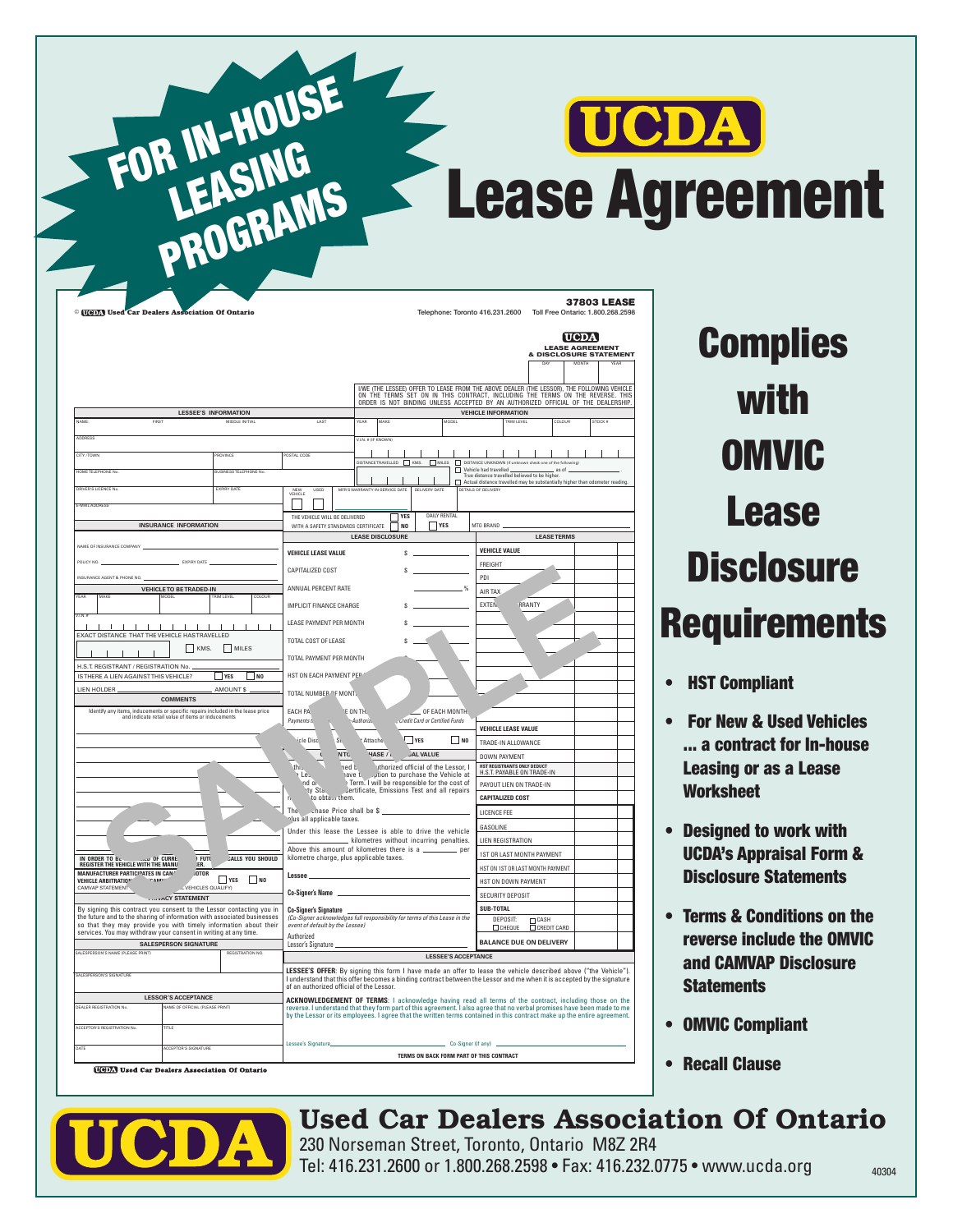## UCDA Lease Agreement

|                                                                                                                                             |                                                               |                         | Lessee's Signature                                                                                                                                                                                                                |                                                                                            |             |                                                         |           | Co-Signer (if any)                                                                                                                                                                                                                   |                                                                                |                        |  |
|---------------------------------------------------------------------------------------------------------------------------------------------|---------------------------------------------------------------|-------------------------|-----------------------------------------------------------------------------------------------------------------------------------------------------------------------------------------------------------------------------------|--------------------------------------------------------------------------------------------|-------------|---------------------------------------------------------|-----------|--------------------------------------------------------------------------------------------------------------------------------------------------------------------------------------------------------------------------------------|--------------------------------------------------------------------------------|------------------------|--|
| ACCEPTOR'S REGISTRATION N<br>nne                                                                                                            |                                                               |                         |                                                                                                                                                                                                                                   |                                                                                            |             |                                                         |           |                                                                                                                                                                                                                                      |                                                                                |                        |  |
|                                                                                                                                             |                                                               |                         | reverse. I understand that they form part of this agreement. I also agree that no verbal promises have been made to me<br>by the Lessor or its employees. I agree that the written terms contained in this contract make up the e |                                                                                            |             |                                                         |           |                                                                                                                                                                                                                                      |                                                                                |                        |  |
| DEALER REGISTRATION No                                                                                                                      | <b>LESSOR'S ACCEPTANCE</b><br>VAME OF OFFICIAL (PLEASE PRINT) |                         | ACKNOWLEDGEMENT OF TERMS: I acknowledge having read all terms of the contract, including those on the                                                                                                                             |                                                                                            |             |                                                         |           |                                                                                                                                                                                                                                      |                                                                                |                        |  |
|                                                                                                                                             |                                                               |                         | I understand that this offer becomes a binding contract between the Lessor and me when it is accepted by the signature<br>of an authorized official of the Lessor.                                                                |                                                                                            |             |                                                         |           |                                                                                                                                                                                                                                      |                                                                                |                        |  |
| SALESPERSON'S SIGNATURE                                                                                                                     |                                                               |                         | LESSEE'S OFFER: By signing this form I have made an offer to lease the vehicle described above ("the Vehicle").                                                                                                                   |                                                                                            |             |                                                         |           |                                                                                                                                                                                                                                      |                                                                                |                        |  |
| <b>ALESPERSON'S NAME (PLEASE PRINT</b>                                                                                                      | <b>SALESPERSON SIGNATURE</b>                                  |                         | Lessor's Signature.                                                                                                                                                                                                               |                                                                                            |             | <b>LESSEE'S ACCEPTANCE</b>                              |           |                                                                                                                                                                                                                                      |                                                                                |                        |  |
| services. You may withdraw your consent in writing at any time.                                                                             |                                                               |                         | Authorized                                                                                                                                                                                                                        |                                                                                            |             |                                                         |           | <b>BALANCE DUE ON DELIVERY</b>                                                                                                                                                                                                       |                                                                                |                        |  |
| the future and to the sharing of information with associated businesses<br>so that they may provide you with timely information about their |                                                               |                         | (Co-Signer acknowledges full responsibility for terms of this Lease in the<br>event of default by the Lessee)                                                                                                                     |                                                                                            |             |                                                         |           | DEPOSIT:<br>Псигоиг                                                                                                                                                                                                                  | $\begin{array}{c}\n\Box \text{ CASH} \\ \Box \text{ CREDIT CARD}\n\end{array}$ |                        |  |
| By signing this contract you consent to the Lessor contacting you in                                                                        |                                                               |                         | <b>Co-Signer's Signature</b>                                                                                                                                                                                                      |                                                                                            |             |                                                         |           | SUB-TOTAL                                                                                                                                                                                                                            |                                                                                |                        |  |
| <b>CAMVAP STATEMENT</b>                                                                                                                     | LL VEHICLES QUALIFY)<br>vACY STATEMENT                        |                         | Co-Signer's Name                                                                                                                                                                                                                  |                                                                                            |             |                                                         |           | SECURITY DEPOSIT                                                                                                                                                                                                                     |                                                                                |                        |  |
| MANUFACTURER PARTICIPATES IN CAN'<br><b>VEHICLE ARBITRATION</b><br>$'$ <sup>O</sup> $A$ $A$ $A$ <sup>3</sup>                                | <b>IOTOR</b><br>$\Box$ YES                                    | $\Box$ NO               | Lessee                                                                                                                                                                                                                            |                                                                                            |             |                                                         |           | HST ON DOWN PAYMENT                                                                                                                                                                                                                  |                                                                                |                        |  |
|                                                                                                                                             | <b>FUTL</b><br>ER.                                            | <b>CALLS YOU SHOULD</b> | kilometre charge, plus applicable taxes.                                                                                                                                                                                          |                                                                                            |             |                                                         |           | HST ON 1ST OR LAST MONTH PAYMENT                                                                                                                                                                                                     |                                                                                |                        |  |
|                                                                                                                                             |                                                               |                         | Above this amount of kilometres there is a _                                                                                                                                                                                      |                                                                                            |             |                                                         | _ per     | LIEN REGISTRATION<br>1ST OR LAST MONTH PAYMENT                                                                                                                                                                                       |                                                                                |                        |  |
|                                                                                                                                             |                                                               |                         | Under this lease the Lessee is able to drive the vehicle                                                                                                                                                                          | kilometres without incurring penalties.                                                    |             |                                                         |           | GASOLINE                                                                                                                                                                                                                             |                                                                                |                        |  |
|                                                                                                                                             |                                                               |                         | The $\therefore$ chase Price shall be \$<br>lus all applicable taxes.                                                                                                                                                             |                                                                                            |             |                                                         |           | LICENCE FEE                                                                                                                                                                                                                          |                                                                                |                        |  |
|                                                                                                                                             |                                                               |                         | to obtain them.                                                                                                                                                                                                                   |                                                                                            |             |                                                         |           | <b>CAPITALIZED COST</b>                                                                                                                                                                                                              |                                                                                |                        |  |
|                                                                                                                                             |                                                               |                         | nd or<br>Yty Sta.                                                                                                                                                                                                                 | Term. I will be responsible for the cost of<br>Jertificate, Emissions Test and all repairs |             |                                                         |           | PAYOUT LIEN ON TRADE-IN                                                                                                                                                                                                              |                                                                                |                        |  |
|                                                                                                                                             |                                                               |                         | Les                                                                                                                                                                                                                               | have to purchase the Vehicle at                                                            |             |                                                         |           | H.S.T. PAYABLE ON TRADE-IN                                                                                                                                                                                                           |                                                                                |                        |  |
|                                                                                                                                             |                                                               |                         | <b>NTC</b><br>this                                                                                                                                                                                                                | HASE /<br>ned b                                                                            |             | <b>JAL VALUE</b><br>uthorized official of the Lessor, I |           | <b>DOWN PAYMENT</b><br>HST REGISTRANTS ONLY DEDUCT                                                                                                                                                                                   |                                                                                |                        |  |
|                                                                                                                                             |                                                               |                         | icle Disc<br>Sĩ.                                                                                                                                                                                                                  | Attache                                                                                    | $\Box$ YES  |                                                         | $\Box$ NO | TRADE-IN ALLOWANCE                                                                                                                                                                                                                   |                                                                                |                        |  |
|                                                                                                                                             |                                                               |                         |                                                                                                                                                                                                                                   |                                                                                            |             |                                                         |           | <b>VEHICLE LEASE VALUE</b>                                                                                                                                                                                                           |                                                                                |                        |  |
| ldentify any items, inducements or specific repairs included in the lease price<br>and indicate retail value of items or inducements        |                                                               |                         | <b>EACH PA</b><br>Payments t.                                                                                                                                                                                                     | E ON TH.<br>-Authorize                                                                     |             | $\_$ OF EACH MONTH.<br>Credit Card or Certified Funds   |           |                                                                                                                                                                                                                                      |                                                                                |                        |  |
|                                                                                                                                             | <b>COMMENTS</b>                                               |                         |                                                                                                                                                                                                                                   |                                                                                            |             |                                                         |           |                                                                                                                                                                                                                                      |                                                                                |                        |  |
| LIEN HOLDER                                                                                                                                 | AMOUNT \$                                                     |                         | TOTAL NUMBER OF MONT.                                                                                                                                                                                                             |                                                                                            |             |                                                         |           |                                                                                                                                                                                                                                      |                                                                                |                        |  |
| H.S.T. REGISTRANT / REGISTRATION No.<br>IS THERE A LIEN AGAINST THIS VEHICLE?                                                               | $\sqrt{ }$ YES                                                | $\Box$ NO               | HST ON EACH PAYMENT PEP                                                                                                                                                                                                           |                                                                                            |             |                                                         |           |                                                                                                                                                                                                                                      |                                                                                |                        |  |
|                                                                                                                                             |                                                               |                         | TOTAL PAYMENT PER MONTH                                                                                                                                                                                                           |                                                                                            |             |                                                         |           |                                                                                                                                                                                                                                      |                                                                                |                        |  |
| EXACT DISTANCE THAT THE VEHICLE HAS TRAVELLED                                                                                               | $KMS$ .<br>$\Box$ MILES                                       |                         | TOTAL COST OF LEASE                                                                                                                                                                                                               |                                                                                            |             |                                                         |           |                                                                                                                                                                                                                                      |                                                                                |                        |  |
| $\mathbf{I}$<br>$\mathbf{I}$<br>$\mathbf{I}$<br>$\mathbf{I}$<br>$\mathbf{I}$                                                                | $\mathbf{I}$<br>$\mathbf{I}$<br>$\mathbf{I}$                  |                         | LEASE PAYMENT PER MONTH                                                                                                                                                                                                           |                                                                                            |             |                                                         |           |                                                                                                                                                                                                                                      |                                                                                |                        |  |
| $\overline{N}$                                                                                                                              |                                                               |                         | IMPLICIT FINANCE CHARGE                                                                                                                                                                                                           |                                                                                            |             |                                                         |           |                                                                                                                                                                                                                                      |                                                                                |                        |  |
| <b>FAF</b><br>MAKE<br>MODEL                                                                                                                 | <b>TRIM I FVFI</b>                                            | COLOUR                  |                                                                                                                                                                                                                                   |                                                                                            |             |                                                         |           | AIR TAX<br>EXTEN.                                                                                                                                                                                                                    | RRANTY                                                                         |                        |  |
| INSURANCE AGENT & PHONE NO. _                                                                                                               | <b>VEHICLE TO BE TRADED-IN</b>                                |                         | ANNUAL PERCENT RATE                                                                                                                                                                                                               |                                                                                            |             |                                                         | %         | PDI                                                                                                                                                                                                                                  |                                                                                |                        |  |
| POLICY NO. .                                                                                                                                | EXPIRY DATE                                                   |                         | CAPITALIZED COST                                                                                                                                                                                                                  |                                                                                            |             |                                                         |           | FREIGHT                                                                                                                                                                                                                              |                                                                                |                        |  |
|                                                                                                                                             |                                                               |                         | <b>VEHICLE LEASE VALUE</b>                                                                                                                                                                                                        |                                                                                            |             |                                                         |           | <b>VEHICLE VALUE</b>                                                                                                                                                                                                                 |                                                                                |                        |  |
| NAME OF INSURANCE COMPANY                                                                                                                   |                                                               |                         |                                                                                                                                                                                                                                   | <b>LEASE DISCLOSURE</b>                                                                    |             |                                                         |           |                                                                                                                                                                                                                                      | <b>LEASE TERMS</b>                                                             |                        |  |
|                                                                                                                                             | <b>INSURANCE INFORMATION</b>                                  |                         | WITH A SAFETY STANDARDS CERTIFICATE                                                                                                                                                                                               |                                                                                            | $\Box$ NO   | $\Box$ YES                                              |           | MTO BRAND                                                                                                                                                                                                                            |                                                                                |                        |  |
| F-MAIL ADDRESS                                                                                                                              |                                                               |                         | THE VEHICLE WILL BE DELIVERED                                                                                                                                                                                                     |                                                                                            | <b>YES</b>  | <b>DAILY RENTAL</b>                                     |           |                                                                                                                                                                                                                                      |                                                                                |                        |  |
| DRIVER'S LICENCE N                                                                                                                          | <b>EXPIRY DATE</b>                                            |                         | NEW<br>VEHICLE<br>USED                                                                                                                                                                                                            | <b><i>SERVICE DATE</i></b>                                                                 | <b>DELL</b> | <b>RY DATI</b>                                          |           | DETAILS OF DELIVERY                                                                                                                                                                                                                  |                                                                                |                        |  |
| HOMETELEPHONE N                                                                                                                             | <b>NISINESSTEI FPHONE N</b>                                   |                         |                                                                                                                                                                                                                                   |                                                                                            |             |                                                         |           | Vehicle had travelled<br>True distance travelled believed to be higher.<br>Actual distance travelled may be substantially higher than odometer reading.                                                                              | as of                                                                          |                        |  |
| CITY/TOWN                                                                                                                                   | ROVINCE                                                       |                         | OSTAL CODE                                                                                                                                                                                                                        | DISTANCE TRAVELLED NMS.                                                                    |             | $\Box$ MILES                                            |           | DISTANCE UNKNOWN (if unknown check one of the fo                                                                                                                                                                                     |                                                                                |                        |  |
|                                                                                                                                             |                                                               |                         |                                                                                                                                                                                                                                   | V.UN. # (IF KNOWN)                                                                         |             |                                                         |           |                                                                                                                                                                                                                                      |                                                                                |                        |  |
| <b>ADDRESS</b>                                                                                                                              |                                                               |                         |                                                                                                                                                                                                                                   |                                                                                            |             |                                                         |           |                                                                                                                                                                                                                                      |                                                                                |                        |  |
| VAME<br>FIRST                                                                                                                               | <b>LESSEE'S INFORMATION</b><br>MIDDLE INITIAL                 |                         | LAST                                                                                                                                                                                                                              | YEAR<br>MAKE                                                                               |             |                                                         | MODEL     | <b>VEHICLE INFORMATION</b><br><b>TRIM LEVEL</b>                                                                                                                                                                                      | COLOUR                                                                         | STOCK #                |  |
|                                                                                                                                             |                                                               |                         |                                                                                                                                                                                                                                   |                                                                                            |             |                                                         |           | I/WE (THE LESSEE) OFFER TO LEASE FROM THE ABOVE DEALER (THE LESSOR), THE FOLLOWING VEHICLE<br>ON THE TERMS SET ON IN THIS CONTRACT, INCLUDING THE TERMS ON THE REVERSE. THIS<br>ORDER IS NOT BINDING UNLESS ACCEPTED BY AN AUTHORIZE |                                                                                |                        |  |
|                                                                                                                                             |                                                               |                         |                                                                                                                                                                                                                                   |                                                                                            |             |                                                         |           |                                                                                                                                                                                                                                      |                                                                                |                        |  |
|                                                                                                                                             |                                                               |                         |                                                                                                                                                                                                                                   |                                                                                            |             |                                                         |           |                                                                                                                                                                                                                                      |                                                                                |                        |  |
|                                                                                                                                             |                                                               |                         |                                                                                                                                                                                                                                   |                                                                                            |             |                                                         |           |                                                                                                                                                                                                                                      | & DISCLOSURE STATEMENT                                                         | <b>LEASE AGREEMENT</b> |  |
|                                                                                                                                             |                                                               |                         |                                                                                                                                                                                                                                   |                                                                                            |             |                                                         |           |                                                                                                                                                                                                                                      |                                                                                | [UCDA]                 |  |
|                                                                                                                                             |                                                               |                         |                                                                                                                                                                                                                                   |                                                                                            |             |                                                         |           |                                                                                                                                                                                                                                      |                                                                                |                        |  |
|                                                                                                                                             |                                                               |                         |                                                                                                                                                                                                                                   |                                                                                            |             |                                                         |           |                                                                                                                                                                                                                                      |                                                                                |                        |  |

Complies with OMVIC Lease **Disclosure Requirements** 

- HST Compliant
- For New & Used Vehicles ... a contract for In-house Leasing or as a Lease **Worksheet**
- Designed to work with UCDA's Appraisal Form & Disclosure Statements
- Terms & Conditions on the reverse include the OMVIC and CAMVAP Disclosure **Statements**
- OMVIC Compliant
- Recall Clause

FOR IN-HOUSE

LEASING

**LEASINS** 



Used Car Dealers Association Of Ontario 230 Norseman Street, Toronto, Ontario M8Z 2R4

Tel: 416.231.2600 or 1.800.268.2598 • Fax: 416.232.0775 • www.ucda.org 40304